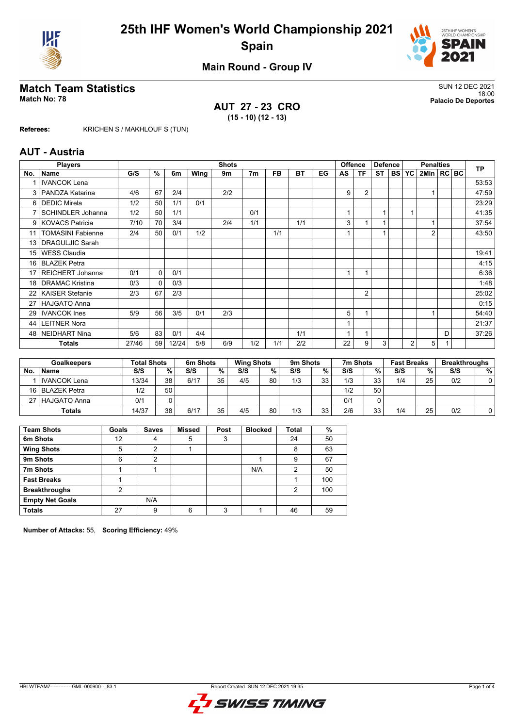



## **Main Round - Group IV**

## **Match Team Statistics** SUN 12 DEC 2021

**AUT 27 - 23 CRO (15 - 10) (12 - 13)**

18:00 **Match No: 78 Palacio De Deportes**

**Referees:** KRICHEN S / MAKHLOUF S (TUN)

#### **AUT - Austria**

|     | <b>Players</b>           |       |              | <b>Shots</b> |      |     |                |     | <b>Offence</b><br><b>Defence</b> |    | <b>Penalties</b>        |                |           |        | <b>TP</b>      |                |   |  |       |
|-----|--------------------------|-------|--------------|--------------|------|-----|----------------|-----|----------------------------------|----|-------------------------|----------------|-----------|--------|----------------|----------------|---|--|-------|
| No. | <b>Name</b>              | G/S   | %            | 6m           | Wing | 9m  | 7 <sub>m</sub> | FB. | BT                               | EG | AS                      | ΤF             | <b>ST</b> | I BS I | <b>YC</b>      | 2Min   RC BC   |   |  |       |
|     | <b>IVANCOK Lena</b>      |       |              |              |      |     |                |     |                                  |    |                         |                |           |        |                |                |   |  | 53:53 |
| 3   | PANDZA Katarina          | 4/6   | 67           | 2/4          |      | 2/2 |                |     |                                  |    | 9                       | $\overline{2}$ |           |        |                |                |   |  | 47:59 |
| 6   | <b>DEDIC Mirela</b>      | 1/2   | 50           | 1/1          | 0/1  |     |                |     |                                  |    |                         |                |           |        |                |                |   |  | 23:29 |
| 7   | <b>SCHINDLER Johanna</b> | 1/2   | 50           | 1/1          |      |     | 0/1            |     |                                  |    | $\overline{\mathbf{A}}$ |                | 1         |        | 1              |                |   |  | 41:35 |
| 9   | <b>KOVACS Patricia</b>   | 7/10  | 70           | 3/4          |      | 2/4 | 1/1            |     | 1/1                              |    | 3                       |                | 1         |        |                |                |   |  | 37:54 |
| 11  | <b>TOMASINI Fabienne</b> | 2/4   | 50           | 0/1          | 1/2  |     |                | 1/1 |                                  |    |                         |                | и         |        |                | $\overline{2}$ |   |  | 43:50 |
| 13  | <b>DRAGULJIC Sarah</b>   |       |              |              |      |     |                |     |                                  |    |                         |                |           |        |                |                |   |  |       |
| 15  | <b>WESS Claudia</b>      |       |              |              |      |     |                |     |                                  |    |                         |                |           |        |                |                |   |  | 19:41 |
| 16  | <b>BLAZEK Petra</b>      |       |              |              |      |     |                |     |                                  |    |                         |                |           |        |                |                |   |  | 4:15  |
| 17  | <b>REICHERT Johanna</b>  | 0/1   | $\mathbf{0}$ | 0/1          |      |     |                |     |                                  |    |                         |                |           |        |                |                |   |  | 6:36  |
| 18  | <b>DRAMAC Kristina</b>   | 0/3   | $\Omega$     | 0/3          |      |     |                |     |                                  |    |                         |                |           |        |                |                |   |  | 1:48  |
| 22  | <b>KAISER Stefanie</b>   | 2/3   | 67           | 2/3          |      |     |                |     |                                  |    |                         | $\overline{2}$ |           |        |                |                |   |  | 25:02 |
| 27  | <b>HAJGATO Anna</b>      |       |              |              |      |     |                |     |                                  |    |                         |                |           |        |                |                |   |  | 0:15  |
| 29  | <b>IVANCOK Ines</b>      | 5/9   | 56           | 3/5          | 0/1  | 2/3 |                |     |                                  |    | 5                       |                |           |        |                |                |   |  | 54:40 |
| 44  | <b>LEITNER Nora</b>      |       |              |              |      |     |                |     |                                  |    |                         |                |           |        |                |                |   |  | 21:37 |
| 48  | <b>NEIDHART Nina</b>     | 5/6   | 83           | 0/1          | 4/4  |     |                |     | 1/1                              |    |                         |                |           |        |                |                | D |  | 37:26 |
|     | <b>Totals</b>            | 27/46 | 59           | 12/24        | 5/8  | 6/9 | 1/2            | 1/1 | 2/2                              |    | 22                      | 9              | 3         |        | $\overline{2}$ | 5              |   |  |       |

|     | <b>Goalkeepers</b>  |       | <b>Total Shots</b> |      | 6m Shots        |     | <b>Wing Shots</b> |     | 9 <sub>m</sub> Shots |     | 7m Shots |     | <b>Fast Breaks</b> | <b>Breakthroughs</b> |   |
|-----|---------------------|-------|--------------------|------|-----------------|-----|-------------------|-----|----------------------|-----|----------|-----|--------------------|----------------------|---|
| No. | <b>Name</b>         | S/S   | %                  | S/S  | %               | S/S | %.                | S/S | %                    | S/S | %        | S/S | %                  | S/S                  | % |
|     | <b>IVANCOK Lena</b> | 13/34 | 38                 | 6/17 | 35 <sub>1</sub> | 4/5 | 80                | 1/3 | 33                   | 1/3 | 33       | 1/4 | 25                 | 0/2                  | 0 |
|     | 16 BLAZEK Petra     | 1/2   | 50                 |      |                 |     |                   |     |                      | 1/2 | 50       |     |                    |                      |   |
|     | 27   HAJGATO Anna   | 0/1   |                    |      |                 |     |                   |     |                      | 0/1 |          |     |                    |                      |   |
|     | <b>Totals</b>       | 14/37 | 38                 | 6/17 | 35 <sub>1</sub> | 4/5 | 80                | 1/3 | 33                   | 2/6 | 33       | 1/4 | 25                 | 0/2                  |   |

| <b>Team Shots</b>      | Goals | <b>Saves</b> | <b>Missed</b> | Post | <b>Blocked</b> | <b>Total</b> | %   |
|------------------------|-------|--------------|---------------|------|----------------|--------------|-----|
| 6m Shots               | 12    | 4            | 5             | 3    |                | 24           | 50  |
| <b>Wing Shots</b>      | 5     | ົ            |               |      |                | 8            | 63  |
| 9m Shots               | 6     | 2            |               |      |                | 9            | 67  |
| 7m Shots               |       |              |               |      | N/A            | 2            | 50  |
| <b>Fast Breaks</b>     |       |              |               |      |                |              | 100 |
| <b>Breakthroughs</b>   | ົ     |              |               |      |                | 2            | 100 |
| <b>Empty Net Goals</b> |       | N/A          |               |      |                |              |     |
| <b>Totals</b>          | 27    | 9            | 6             | 3    |                | 46           | 59  |

**Number of Attacks:** 55, **Scoring Efficiency:** 49%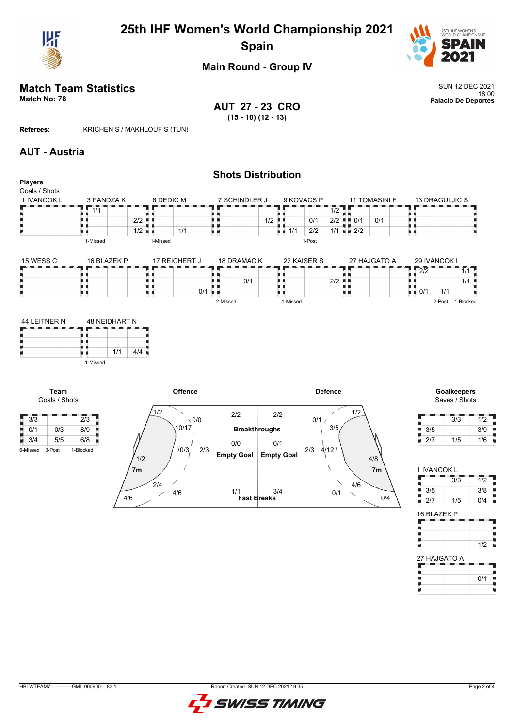

# **25th IHF Women's World Championship 2021 Spain**



18:00 **Match No: 78 Palacio De Deportes**

## **Main Round - Group IV**

# **Match Team Statistics**<br>Match No: 78<br>Palacio De Deportes

**AUT 27 - 23 CRO (15 - 10) (12 - 13)**

**Referees:** KRICHEN S / MAKHLOUF S (TUN)

#### **AUT - Austria**

| <b>Players</b>            |                        |                      |                 |                      |                      | <b>Shots Distribution</b> |             |                                           |                |                                          |                             |                  |
|---------------------------|------------------------|----------------------|-----------------|----------------------|----------------------|---------------------------|-------------|-------------------------------------------|----------------|------------------------------------------|-----------------------------|------------------|
| Goals / Shots             |                        |                      |                 |                      |                      |                           |             |                                           |                |                                          |                             |                  |
| 1 IVANCOK L               | 3 PANDZA K<br>1/1      |                      | 6 DEDIC M       |                      | 7 SCHINDLER J        |                           | 9 KOVACS P  | $\overline{1/2}$                          | 11 TOMASINI F  | 13 DRAGULJIC S                           |                             |                  |
|                           |                        | $2/2$ $\blacksquare$ |                 |                      |                      | $1/2$ $\blacksquare$      | 0/1         | $2/2$ $\blacksquare$ 0/1                  | 0/1            | n n<br>. .                               |                             |                  |
|                           |                        | 1/2                  | 1/1             | uи                   |                      | $\blacksquare$ 1/1        | 2/2         | $1/1$ $\overline{u}$ $\overline{u}$ $2/2$ |                | . .<br>电电                                |                             |                  |
|                           | 1-Missed               | 1-Missed             |                 |                      |                      |                           | 1-Post      |                                           |                |                                          |                             |                  |
| 15 WESS C                 | 16 BLAZEK P            |                      | 17 REICHERT J   |                      | 18 DRAMAC K          |                           | 22 KAISER S |                                           | 27 HAJGATO A   | 29 IVANCOK I                             |                             |                  |
|                           |                        |                      |                 |                      |                      |                           |             |                                           |                | 2/2                                      | $\overline{1/1}$            |                  |
|                           | ш                      | . .                  |                 |                      | 0/1                  | . .                       |             | $2/2$ $\blacksquare$                      |                | . .                                      | 1/1                         |                  |
|                           | u p                    | 原理                   |                 | $0/1$ $\blacksquare$ |                      |                           |             | 原理                                        |                | . .<br>$\overline{u}$ $\overline{v}$ 0/1 | 1/1                         |                  |
|                           |                        |                      |                 | 2-Missed             |                      | 1-Missed                  |             |                                           |                |                                          | 2-Post 1-Blocked            |                  |
|                           | 1/1<br>u e<br>1-Missed | 4/4                  |                 |                      |                      |                           |             |                                           |                |                                          |                             |                  |
| Team                      |                        |                      | Offence         |                      |                      |                           |             | <b>Defence</b>                            |                |                                          | Goalkeepers                 |                  |
| Goals / Shots             |                        |                      |                 |                      |                      |                           |             |                                           |                |                                          | Saves / Shots               |                  |
|                           |                        | 1/2                  |                 |                      | 2/2                  | 2/2                       |             | 1/2<br>∕                                  |                |                                          |                             |                  |
| $\sqrt{3/3}$              | $\overline{2}/3$       |                      | $\setminus$ 0/0 |                      |                      |                           | 0/1/        |                                           |                |                                          | 3/3                         | $\overline{1/2}$ |
| $\frac{1}{2}$ 0/1<br>0/3  | 8/9                    |                      | 10/17           |                      | <b>Breakthroughs</b> |                           |             | 3/5                                       |                | 3/5                                      |                             | 3/9              |
| $\blacksquare$ 3/4<br>5/5 | 6/8                    |                      |                 |                      | 0/0                  | 0/1                       |             |                                           |                | 2/7<br>U.                                | 1/5                         | 1/6              |
| 3-Post<br>6-Missed        | 1-Blocked              | 1/2                  | 10/3,<br>2/3    |                      | <b>Empty Goal</b>    | <b>Empty Goal</b>         | 2/3         | 4/12                                      | 4/8            |                                          |                             |                  |
|                           |                        | 7 <sub>m</sub>       |                 |                      |                      |                           |             |                                           | 7 <sub>m</sub> | 1 IVANCOK L                              |                             |                  |
|                           |                        | 2/4                  |                 |                      |                      |                           |             | 4/6                                       |                |                                          | $\overline{3}/\overline{3}$ | $\overline{1/2}$ |
|                           |                        |                      | 4/6             |                      | 1/1                  | 3/4                       |             | 0/1<br>$\diagup$                          |                | 3/5<br>r                                 |                             | 3/8              |
|                           |                        | 4/6                  |                 |                      | <b>Fast Breaks</b>   |                           |             |                                           | 0/4            | 0/7                                      | $4$ IE                      | 014              |

 $4/6$ 



 $\overline{1/2}$ 

t

Ĭ

t

0/1

 $0/4$ 

 $2/7$  1/5 0/4

16 BLAZEK P

ŗ ۳

Ρ

H

27 HAJGATO A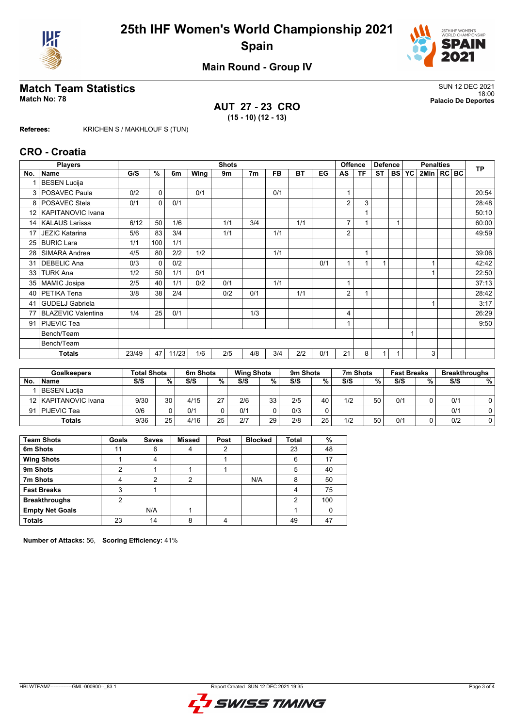



## **Main Round - Group IV**

## **Match Team Statistics** SUN 12 DEC 2021

**AUT 27 - 23 CRO (15 - 10) (12 - 13)**

18:00 **Match No: 78 Palacio De Deportes**

**Referees:** KRICHEN S / MAKHLOUF S (TUN)

#### **CRO - Croatia**

|                 | <b>Players</b>            |       |          |       |      | <b>Shots</b> |                |           |           |     |                         | <b>Offence</b> | <b>Defence</b> |           | <b>Penalties</b> |              |  |  | <b>TP</b> |
|-----------------|---------------------------|-------|----------|-------|------|--------------|----------------|-----------|-----------|-----|-------------------------|----------------|----------------|-----------|------------------|--------------|--|--|-----------|
| No.             | Name                      | G/S   | %        | 6m    | Wing | 9m           | 7 <sub>m</sub> | <b>FB</b> | <b>BT</b> | EG  | AS                      | ΤF             | <b>ST</b>      | <b>BS</b> | <b>YC</b>        | 2Min   RC BC |  |  |           |
|                 | <b>BESEN Lucija</b>       |       |          |       |      |              |                |           |           |     |                         |                |                |           |                  |              |  |  |           |
| 3               | POSAVEC Paula             | 0/2   | 0        |       | 0/1  |              |                | 0/1       |           |     |                         |                |                |           |                  |              |  |  | 20:54     |
| 8               | POSAVEC Stela             | 0/1   | $\Omega$ | 0/1   |      |              |                |           |           |     | 2                       | 3              |                |           |                  |              |  |  | 28:48     |
| 12 <sub>1</sub> | <b>KAPITANOVIC Ivana</b>  |       |          |       |      |              |                |           |           |     |                         |                |                |           |                  |              |  |  | 50:10     |
| 14              | <b>KALAUS Larissa</b>     | 6/12  | 50       | 1/6   |      | 1/1          | 3/4            |           | 1/1       |     | $\overline{7}$          |                |                |           |                  |              |  |  | 60:00     |
| 17              | <b>JEZIC Katarina</b>     | 5/6   | 83       | 3/4   |      | 1/1          |                | 1/1       |           |     | 2                       |                |                |           |                  |              |  |  | 49:59     |
| 25              | <b>BURIC Lara</b>         | 1/1   | 100      | 1/1   |      |              |                |           |           |     |                         |                |                |           |                  |              |  |  |           |
| 28              | SIMARA Andrea             | 4/5   | 80       | 2/2   | 1/2  |              |                | 1/1       |           |     |                         |                |                |           |                  |              |  |  | 39:06     |
| 31              | <b>DEBELIC Ana</b>        | 0/3   | $\Omega$ | 0/2   |      |              |                |           |           | 0/1 |                         |                |                |           |                  |              |  |  | 42:42     |
| 33              | <b>TURK Ana</b>           | 1/2   | 50       | 1/1   | 0/1  |              |                |           |           |     |                         |                |                |           |                  |              |  |  | 22:50     |
| 35              | <b>MAMIC Josipa</b>       | 2/5   | 40       | 1/1   | 0/2  | 0/1          |                | 1/1       |           |     | $\overline{\mathbf{A}}$ |                |                |           |                  |              |  |  | 37:13     |
| 40              | PETIKA Tena               | 3/8   | 38       | 2/4   |      | 0/2          | 0/1            |           | 1/1       |     | 2                       |                |                |           |                  |              |  |  | 28:42     |
| 41              | <b>GUDELJ Gabriela</b>    |       |          |       |      |              |                |           |           |     |                         |                |                |           |                  |              |  |  | 3:17      |
| 77              | <b>BLAZEVIC Valentina</b> | 1/4   | 25       | 0/1   |      |              | 1/3            |           |           |     | 4                       |                |                |           |                  |              |  |  | 26:29     |
| 91              | PIJEVIC Tea               |       |          |       |      |              |                |           |           |     |                         |                |                |           |                  |              |  |  | 9:50      |
|                 | Bench/Team                |       |          |       |      |              |                |           |           |     |                         |                |                |           |                  |              |  |  |           |
|                 | Bench/Team                |       |          |       |      |              |                |           |           |     |                         |                |                |           |                  |              |  |  |           |
|                 | <b>Totals</b>             | 23/49 | 47       | 11/23 | 1/6  | 2/5          | 4/8            | 3/4       | 2/2       | 0/1 | 21                      | 8              | 1              |           |                  | 3            |  |  |           |

|           | <b>Goalkeepers</b>     | <b>Total Shots</b> |    | 6m Shots |    | <b>Wing Shots</b> |    | 9 <sub>m</sub> Shots |    | 7m Shots |    | <b>Fast Breaks</b> |   | <b>Breakthroughs</b> |   |
|-----------|------------------------|--------------------|----|----------|----|-------------------|----|----------------------|----|----------|----|--------------------|---|----------------------|---|
| <b>No</b> | <b>Name</b>            | S/S                | %  | S/S      | %  | S/S               | %  | S/S                  | %  | S/S      | %  | S/S                | % | S/S                  | % |
|           | BESEN Lucija           |                    |    |          |    |                   |    |                      |    |          |    |                    |   |                      |   |
|           | 12   KAPITANOVIC Ivana | 9/30               | 30 | 4/15     | 27 | 2/6               | 33 | 2/5                  | 40 | 1/2      | 50 | 0/1                |   | 0/1                  |   |
|           | 91   PIJEVIC Tea       | 0/6                |    | 0/1      |    | 0/1               |    | 0/3                  | 0  |          |    |                    |   | 0/1                  | 0 |
|           | <b>Totals</b>          | 9/36               | 25 | 4/16     | 25 | 2/7               | 29 | 2/8                  | 25 | 1/2      | 50 | 0/1                |   | 0/2                  |   |

| <b>Team Shots</b>      | Goals | <b>Saves</b> | <b>Missed</b> | Post | <b>Blocked</b> | <b>Total</b> | %   |
|------------------------|-------|--------------|---------------|------|----------------|--------------|-----|
| 6m Shots               | 11    | 6            |               | 2    |                | 23           | 48  |
| <b>Wing Shots</b>      |       |              |               |      |                | 6            | 17  |
| 9m Shots               | っ     |              |               |      |                | 5            | 40  |
| 7m Shots               | 4     | 2            | 2             |      | N/A            | 8            | 50  |
| <b>Fast Breaks</b>     | 3     |              |               |      |                | 4            | 75  |
| <b>Breakthroughs</b>   | 2     |              |               |      |                | 2            | 100 |
| <b>Empty Net Goals</b> |       | N/A          |               |      |                |              |     |
| <b>Totals</b>          | 23    | 14           | 8             |      |                | 49           | 47  |

**Number of Attacks:** 56, **Scoring Efficiency:** 41%